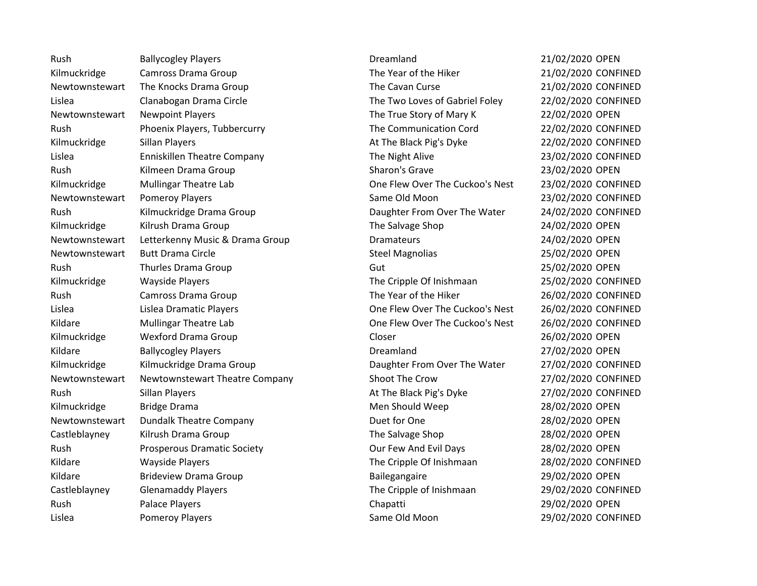Rush Ballycogley Players Communication of Dreamland 21/02/2020 OPEN Kilmuckridge Camross Drama Group The Year of the Hiker 21/02/2020 CONFINED Newtownstewart The Knocks Drama Group The Cavan Curse The Cavan Curse 21/02/2020 CONFINED Lislea Clanabogan Drama Circle The Two Loves of Gabriel Foley 22/02/2020 CONFINED Newtownstewart Newpoint Players Number 22/02/2020 OPEN Rush Phoenix Players, Tubbercurry The Communication Cord 22/02/2020 CONFINED Kilmuckridge Sillan Players Sillan Blayers At The Black Pig's Dyke 22/02/2020 CONFINED Lislea Enniskillen Theatre Company The Night Alive 23/02/2020 CONFINED Rush Communist Communist Communist Communist Communist Communist Communist Communist Communist Communist Communist Communist Communist Communist Communist Communist Communist Communist Communist Communist Communist Communi Kilmuckridge Mullingar Theatre Lab **One Flew Over The Cuckoo's Nest** 23/02/2020 CONFINED Newtownstewart Pomeroy Players Newtownstewart Pomeroy Players Same Old Moon 23/02/2020 CONFINED Rush Kilmuckridge Drama Group **Connect Access Caughter From Over The Water** 24/02/2020 CONFINED Kilmuckridge Kilrush Drama Group National Communication of the Salvage Shop 24/02/2020 OPEN Newtownstewart Letterkenny Music & Drama Group Dramateurs Dramateurs 24/02/2020 OPEN Newtownstewart Butt Drama Circle **Steel Magnolias** 25/02/2020 OPEN Rush Thurles Drama Group Communication of Gut Communication of the 25/02/2020 OPEN Kilmuckridge Wayside Players The Cripple Of Inishmaan 25/02/2020 CONFINED Rush Camross Drama Group The Year of the Hiker 26/02/2020 CONFINED Lislea Lislea Dramatic Players One Flew Over The Cuckoo's Nest 26/02/2020 CONFINED Kildare Mullingar Theatre Lab **One Flew Over The Cuckoo's Nest** 26/02/2020 CONFINED Kilmuckridge Wexford Drama Group Closer Closer 26/02/2020 OPEN Kildare Ballycogley Players **Ballycogley Players** Ballycogle Ballycogle Ballycogle Ballycogley Players **Dreamland** Dreamland 27/02/2020 OPEN Kilmuckridge Kilmuckridge Drama Group **National Constant Control** Daughter From Over The Water 27/02/2020 CONFINED Newtownstewart Newtownstewart Theatre Company Shoot The Crow 27/02/2020 CONFINED Rush Sillan Players Controller At The Black Pig's Dyke 27/02/2020 CONFINED Kilmuckridge Bridge Drama New York Channel Men Should Weep 28/02/2020 OPEN Newtownstewart Dundalk Theatre Company Duet for One Duet for One 28/02/2020 OPEN Castleblayney Kilrush Drama Group The Salvage Shop 28/02/2020 OPEN Rush Prosperous Dramatic Society Contract Our Few And Evil Days 28/02/2020 OPEN Kildare Wayside Players The Cripple Of Inishmaan 28/02/2020 CONFINED Kildare Brideview Drama Group Bailegangaire 29/02/2020 OPEN Castleblayney Glenamaddy Players The Cripple of Inishmaan 29/02/2020 CONFINED Rush Palace Players Chapatti 29/02/2020 OPEN Lislea Pomeroy Players Same Old Moon 29/02/2020 CONFINED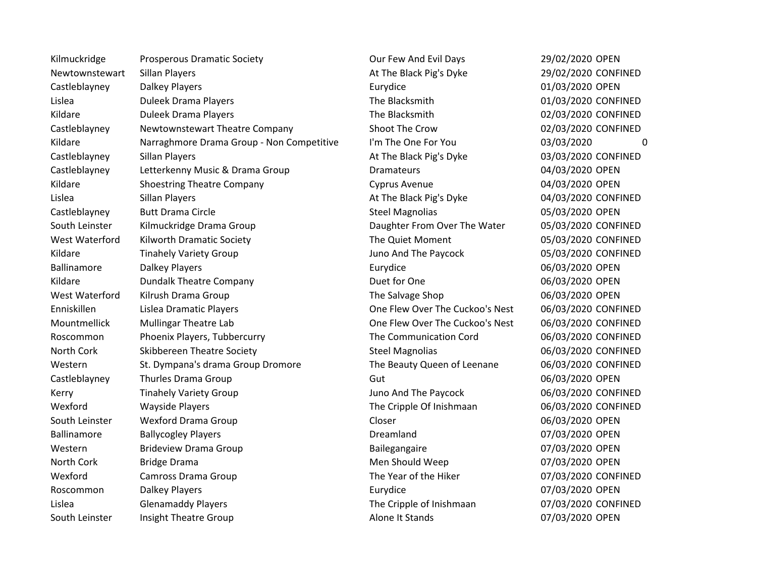Kilmuckridge Prosperous Dramatic Society **Channel Cour Few And Evil Days** 29/02/2020 OPEN Newtownstewart Sillan Players **At The Black Pig's Dyke** 29/02/2020 CONFINED Castleblayney Dalkey Players Eurydice 01/03/2020 OPEN Lislea Duleek Drama Players The Blacksmith 01/03/2020 CONFINED Kildare **Suite Duleek Drama Players Network Confined Access 12 and 2010 The Blacksmith 12000 CONFINED 12/03/2020 CONFINED** Castleblayney Newtownstewart Theatre Company Shoot The Crow 02/03/2020 CONFINED Kildare Marraghmore Drama Group - Non Competitive I'm The One For You 03/03/2020 0 Castleblayney Sillan Players Sullan Players At The Black Pig's Dyke 03/03/2020 CONFINED Castleblayney Letterkenny Music & Drama Group Dramateurs 04/03/2020 OPEN Kildare Shoestring Theatre Company Cyprus Avenue Company Constants Avenue 64/03/2020 OPEN Lislea Sillan Players At The Black Pig's Dyke 04/03/2020 CONFINED Castleblayney Butt Drama Circle Castleblayney Butt Drama Circle Steel Magnolias Castleblayney 05/03/2020 OPEN South Leinster Kilmuckridge Drama Group Commence Counter Caughter From Over The Water Commence CONFINED West Waterford Kilworth Dramatic Society **The Quiet Moment** 05/03/2020 CONFINED Kildare Tinahely Variety Group The Channel Studies of the Paycock and The Paycock 05/03/2020 CONFINED Ballinamore Calkey Players Controller Eurydice Callinamore Dalkey Players Controller Eurydice Controller Ballinamore Kildare **Dundalk Theatre Company Company** Duet for One 06/03/2020 OPEN West Waterford Kilrush Drama Group Number 2012 12:00 Number 2014 The Salvage Shop 06/03/2020 OPEN Enniskillen Lislea Dramatic Players One Flew Over The Cuckoo's Nest 06/03/2020 CONFINED Mountmellick Mullingar Theatre Lab **One Flew Over The Cuckoo's Nest** 06/03/2020 CONFINED Roscommon Phoenix Players, Tubbercurry The Communication Cord 06/03/2020 CONFINED North Cork Skibbereen Theatre Society Steel Magnolias Steel Magnolias 06/03/2020 CONFINED Western St. Dympana's drama Group Dromore The Beauty Queen of Leenane 06/03/2020 CONFINED Castleblayney Thurles Drama Group Gut Gut Castleblayney Gut 06/03/2020 OPEN Kerry **Tinahely Variety Group Contained And The Paycock** 196/03/2020 CONFINED Wexford Wayside Players The Cripple Of Inishmaan 06/03/2020 CONFINED South Leinster Controller Wexford Drama Group Controller Closer Closer Controller Closer Controller Controller Ballinamore Ballycogley Players Channel Ballinamore Ballinamore Ballycogley Players Channel Dreamland Dreamland Western Brideview Drama Group Bailegangaire Bailegangaire 07/03/2020 OPEN North Cork and Bridge Drama and the Core of the Men Should Weep 07/03/2020 OPEN Wexford Camross Drama Group Camross Drama Group Content Content Content Content Content Content Content Or Mexico Roscommon Dalkey Players Controller Eurydice Controller Eurydice Controller Controller Dalkey Players Controller Lislea Glenamaddy Players The Cripple of Inishmaan 07/03/2020 CONFINED South Leinster linsight Theatre Group Alone It Stands Alone It Stands 67/03/2020 OPEN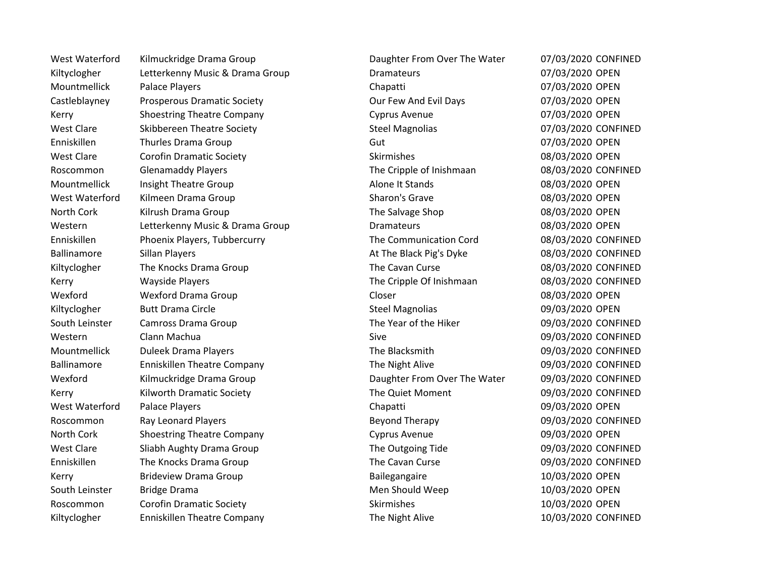Kiltyclogher Letterkenny Music & Drama Group Dramateurs Dramateurs 07/03/2020 OPEN Mountmellick Palace Players Chapatti Chapatti Chapatti Chapatti 07/03/2020 OPEN Castleblayney Prosperous Dramatic Society Castleblayney Our Few And Evil Days 07/03/2020 OPEN Kerry **Shoestring Theatre Company Cyprus Avenue** Company Cyprus Avenue 67/03/2020 OPEN West Clare Skibbereen Theatre Society Steel Magnolias Steel Magnolias 67/03/2020 CONFINED Enniskillen Thurles Drama Group Gut Gut Gut Controlled the Controller of Controller Controller Controller Controller West Clare Corofin Dramatic Society Coronal Coronal Skirmishes Clare Coronal DV 08/03/2020 OPEN Roscommon Glenamaddy Players Channel Content The Cripple of Inishmaan 08/03/2020 CONFINED Mountmellick Insight Theatre Group Alone It Stands Alone It Stands 08/03/2020 OPEN West Waterford Kilmeen Drama Group Sharon's Grave Sharon's Grave COS/03/2020 OPEN North Cork Kilrush Drama Group North Cork The Salvage Shop 08/03/2020 OPEN Western Chatterkenny Music & Drama Group Dramateurs Dramateurs 08/03/2020 OPEN Enniskillen Phoenix Players, Tubbercurry The Communication Cord 08/03/2020 CONFINED Ballinamore Sillan Players Sillan Sulfayers At The Black Pig's Dyke 08/03/2020 CONFINED Kiltyclogher The Knocks Drama Group The Cavan Curse The Cavan Curse 08/03/2020 CONFINED Kerry **Mayside Players** The Cripple Of Inishmaan 18/03/2020 CONFINED CONFINED Wexford Closer Controller Wexford Drama Group Closer Closer Closer Controller Closer Closer Closer Closer Closer Kiltyclogher Butt Drama Circle Steel Magnolias Steel Magnolias 69/03/2020 OPEN South Leinster Camross Drama Group The Year of the Hiker 09/03/2020 CONFINED Western Clann Machua Sive 09/03/2020 CONFINED Mountmellick Duleek Drama Players **Notable 2018** The Blacksmith 1999/03/2020 CONFINED Ballinamore Enniskillen Theatre Company The Night Alive 199/03/2020 CONFINED Wexford Kilmuckridge Drama Group **Connect Access Caughter Crom Over The Water** 09/03/2020 CONFINED Kerry **Kilworth Dramatic Society** Connect Connect The Quiet Moment **1999/03/2020 CONFINED** West Waterford and Palace Players Chapatti Chapatti Chapatti Chapatti Chapatti Chapatti Development Chapatti Chapatti Development Chapatti Chapatti Chapatti Chapatti Chapatti Chapatti Chapatti Chapatti Chapatti Chapatti Ch Roscommon Ray Leonard Players **Beyond Therapy** Beyond Therapy 69/03/2020 CONFINED North Cork Shoestring Theatre Company Cyprus Avenue Company Constants Company Constants (09/03/2020 OPEN West Clare Sliabh Aughty Drama Group The Outgoing Tide 09/03/2020 CONFINED Enniskillen The Knocks Drama Group The Cavan Curse 09/03/2020 CONFINED Kerry **Brideview Drama Group Community Bailegangaire** 10/03/2020 OPEN South Leinster Bridge Drama New York 10/03/2020 OPEN Roscommon Corofin Dramatic Society Coronal Skirmishes Skirmishes 10/03/2020 OPEN Kiltyclogher Enniskillen Theatre Company Ennishillen The Night Alive 10/03/2020 CONFINED

West Waterford Kilmuckridge Drama Group **Daughter From Over The Water** 07/03/2020 CONFINED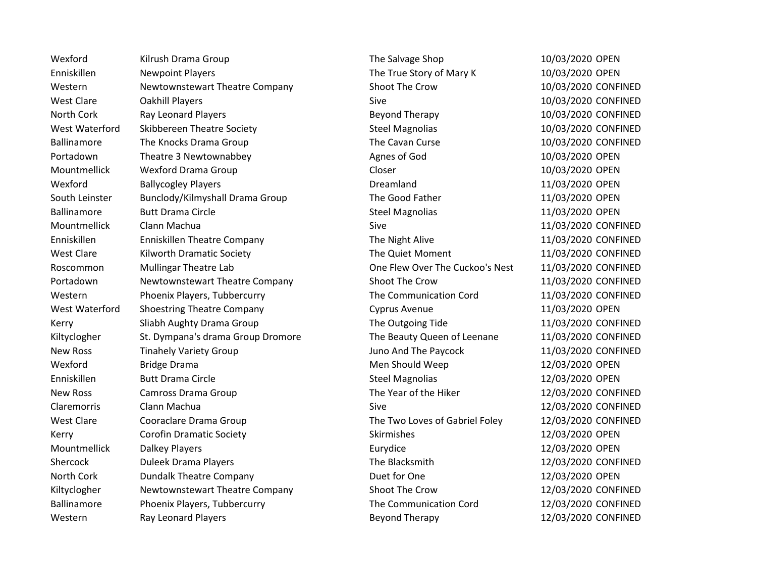Wexford Kilrush Drama Group Number 2012 Control The Salvage Shop 10/03/2020 OPEN Enniskillen Newpoint Players Newton Christian Muslim The True Story of Mary K 10/03/2020 OPEN Western Mewtownstewart Theatre Company Shoot The Crow 10/03/2020 CONFINED West Clare Cakhill Players Controller Sive Sive Sive Simps 2007/03/2020 CONFINED North Cork Ray Leonard Players **Ray Leonard Players** Beyond Therapy 10/03/2020 CONFINED West Waterford Skibbereen Theatre Society Steel Magnolias Steel Magnolias 10/03/2020 CONFINED Ballinamore The Knocks Drama Group The Cavan Curse The Cavan Curse 10/03/2020 CONFINED Portadown Theatre 3 Newtownabbey **Agnes of God** 10/03/2020 OPEN Mountmellick Wexford Drama Group Contraction Closer Closer 2003/2020 OPEN Wexford Ballycogley Players and the Dreamland Dreamland 11/03/2020 OPEN South Leinster Bunclody/Kilmyshall Drama Group The Good Father 11/03/2020 OPEN Ballinamore Butt Drama Circle **Steel Magnolias** Steel Magnolias 11/03/2020 OPEN Mountmellick Clann Machua Sive Sive 11/03/2020 CONFINED Enniskillen Enniskillen Theatre Company The Night Alive 11/03/2020 CONFINED West Clare Kilworth Dramatic Society **The Quiet Moment** 11/03/2020 CONFINED Roscommon Mullingar Theatre Lab **One Flew Over The Cuckoo's Nest** 11/03/2020 CONFINED Portadown Newtownstewart Theatre Company Shoot The Crow 11/03/2020 CONFINED Western Phoenix Players, Tubbercurry The Communication Cord 11/03/2020 CONFINED West Waterford Shoestring Theatre Company Cyprus Avenue 11/03/2020 OPEN Kerry Sliabh Aughty Drama Group The Outgoing Tide 11/03/2020 CONFINED Kiltyclogher St. Dympana's drama Group Dromore The Beauty Queen of Leenane 11/03/2020 CONFINED New Ross Tinahely Variety Group The Paycock 11/03/2020 CONFINED Wexford Bridge Drama Bridge Drama Men Should Weep 12/03/2020 OPEN Enniskillen Butt Drama Circle Steel Magnolias 12/03/2020 OPEN New Ross Camross Drama Group Computer Computer The Year of the Hiker 12/03/2020 CONFINED Claremorris Clann Machua Sive 12/03/2020 CONFINED West Clare Cooraclare Drama Group The Two Loves of Gabriel Foley 12/03/2020 CONFINED Kerry **Corofin Dramatic Society** Corofin Dramatic Society Skirmishes Skirmishes 12/03/2020 OPEN Mountmellick Dalkey Players and the Communication of Eurydice 12/03/2020 OPEN Shercock Duleek Drama Players Controller Chemical Chemical Chemical International Chemical Duleek Drama Players North Cork **Dundalk Theatre Company Company** Duet for One 12/03/2020 OPEN Kiltyclogher Mewtownstewart Theatre Company Shoot The Crow 12/03/2020 CONFINED Ballinamore Phoenix Players, Tubbercurry The Communication Cord 12/03/2020 CONFINED Western Ray Leonard Players **Beyond Therapy 12/03/2020 CONFINED**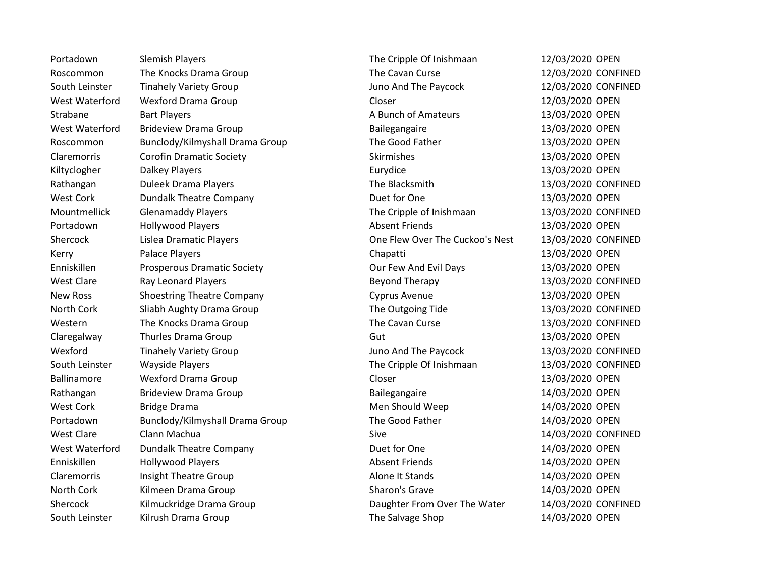Portadown Slemish Players Supers The Cripple Of Inishmaan 12/03/2020 OPEN Roscommon The Knocks Drama Group The Cavan Curse 12/03/2020 CONFINED South Leinster Tinahely Variety Group The Channel Country Countries and The Paycock 12/03/2020 CONFINED West Waterford a Wexford Drama Group Contraction Closer Closer Contraction Closer 22/03/2020 OPEN Strabane Bart Players **Bart Players** A Bunch of Amateurs 13/03/2020 OPEN West Waterford Brideview Drama Group **Bailegangaire** 13/03/2020 OPEN Roscommon Bunclody/Kilmyshall Drama Group The Good Father 13/03/2020 OPEN Claremorris Corofin Dramatic Society Claremorris Corofin Dramatic Society Claremorris Corofin Dramatic Society Kiltyclogher Dalkey Players Eurydice 13/03/2020 OPEN Rathangan Duleek Drama Players **The Blacksmith** 13/03/2020 CONFINED West Cork **Dundalk Theatre Company Company** Duet for One 13/03/2020 OPEN Mountmellick Glenamaddy Players The Cripple of Inishmaan 13/03/2020 CONFINED Portadown Hollywood Players The Control of Absent Friends 13/03/2020 OPEN Shercock Lislea Dramatic Players One Flew Over The Cuckoo's Nest 13/03/2020 CONFINED Kerry **Research Palace Players** Chapatti Chapatti 13/03/2020 OPEN Enniskillen Prosperous Dramatic Society Our Few And Evil Days 13/03/2020 OPEN West Clare Ray Leonard Players Note to the Revond Therapy 13/03/2020 CONFINED New Ross Shoestring Theatre Company Cyprus Avenue 13/03/2020 OPEN North Cork Sliabh Aughty Drama Group The Outgoing Tide 13/03/2020 CONFINED Western The Knocks Drama Group The Cavan Curse The Cavan Curse 13/03/2020 CONFINED Claregalway Thurles Drama Group Claregalway 13/03/2020 OPEN Wexford Tinahely Variety Group The Paycock 13/03/2020 CONFINED South Leinster Wayside Players National Communication of the Cripple Of Inishmaan 13/03/2020 CONFINED Ballinamore Closer Closer 13/03/2020 OPEN Rathangan Brideview Drama Group Bailegangaire Bailegangaire 14/03/2020 OPEN West Cork and Bridge Drama Men Should Weep 14/03/2020 OPEN Portadown Bunclody/Kilmyshall Drama Group The Good Father 14/03/2020 OPEN West Clare Clann Machua Number 2008 14/03/2020 CONFINED West Waterford bundalk Theatre Company Company Duet for One 14/03/2020 OPEN Enniskillen Hollywood Players and Absent Friends 14/03/2020 OPEN Claremorris and Insight Theatre Group and Alone It Stands Alone It Stands 14/03/2020 OPEN North Cork Kilmeen Drama Group Sharon's Grave Sharon's Grave 14/03/2020 OPEN Shercock Kilmuckridge Drama Group Daughter From Over The Water 14/03/2020 CONFINED South Leinster Kilrush Drama Group National Communication of the Salvage Shop 14/03/2020 OPEN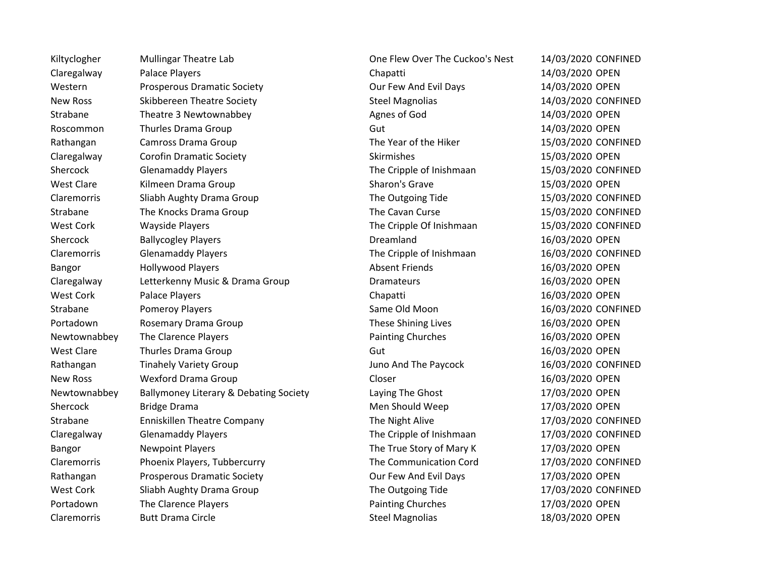Kiltyclogher Mullingar Theatre Lab One Flew Over The Cuckoo's Nest 14/03/2020 CONFINED Claregalway Palace Players Chapatti 14/03/2020 OPEN Western Prosperous Dramatic Society Communic Cour Few And Evil Days 14/03/2020 OPEN New Ross Skibbereen Theatre Society Steel Magnolias Steel Magnolias 14/03/2020 CONFINED Strabane Theatre 3 Newtownabbey **Agnes of God** 14/03/2020 OPEN Roscommon Thurles Drama Group Gut Gut Gut 14/03/2020 OPEN Rathangan Camross Drama Group Camross Drama Group Content Content Content Content Content Content Content Conte Claregalway Corofin Dramatic Society Coronal Skirmishes 15/03/2020 OPEN Shercock Glenamaddy Players Channel Controller The Cripple of Inishmaan 15/03/2020 CONFINED West Clare Kilmeen Drama Group Sharon's Grave 15/03/2020 OPEN Claremorris Sliabh Aughty Drama Group The Outgoing Tide 15/03/2020 CONFINED Strabane The Knocks Drama Group The Cavan Curse The Cavan Curse 15/03/2020 CONFINED West Cork Wayside Players The Cripple Of Inishmaan 15/03/2020 CONFINED Shercock Ballycogley Players and the Dreamland Dreamland 16/03/2020 OPEN Claremorris Glenamaddy Players The Cripple of Inishmaan 16/03/2020 CONFINED Bangor Hollywood Players Absent Friends 16/03/2020 OPEN Claregalway Letterkenny Music & Drama Group Dramateurs 16/03/2020 OPEN West Cork **Palace Players** Chapatti **Chapatti** 16/03/2020 OPEN Strabane 2015 Pomeroy Players Pomerov Players Controlled Moon 2016 Moon 2016/03/2020 CONFINED Portadown Rosemary Drama Group These Shining Lives 16/03/2020 OPEN Newtownabbey The Clarence Players **Painting Churches** Painting Churches 16/03/2020 OPEN West Clare Thurles Drama Group Clare Control Control Cut Clare 16/03/2020 OPEN Rathangan Tinahely Variety Group The Paycock 16/03/2020 CONFINED New Ross Wexford Drama Group Closer 16/03/2020 OPEN Newtownabbey Ballymoney Literary & Debating Society Laying The Ghost 17/03/2020 OPEN Shercock Bridge Drama and Bridge Drama and Britain Britain Men Should Weep 17/03/2020 OPEN Strabane Enniskillen Theatre Company Ennishillen Theatre Company The Night Alive 17/03/2020 CONFINED Claregalway Glenamaddy Players The Cripple of Inishmaan 17/03/2020 CONFINED Bangor **Newpoint Players** Newtoint Players Number 2014 17 Newton 2016 10:00 The True Story of Mary K 17/03/2020 OPEN Claremorris Phoenix Players, Tubbercurry The Communication Cord 17/03/2020 CONFINED Rathangan Prosperous Dramatic Society **Dramatic Society** Our Few And Evil Days 17/03/2020 OPEN West Cork Sliabh Aughty Drama Group The Outgoing Tide 17/03/2020 CONFINED Portadown The Clarence Players **Painting Churches** Painting Churches 17/03/2020 OPEN Claremorris Butt Drama Circle **Steel Magnolias** Steel Magnolias 18/03/2020 OPEN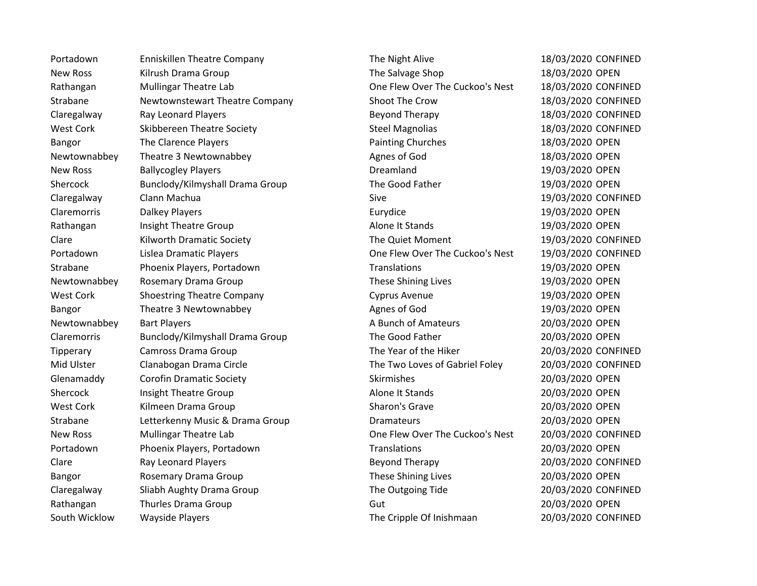New Ross Kilrush Drama Group New York Calvage Shop The Salvage Shop 18/03/2020 OPEN Rathangan Mullingar Theatre Lab **One Flew Over The Cuckoo's Nest** 18/03/2020 CONFINED Strabane Mewtownstewart Theatre Company Shoot The Crow 18/03/2020 CONFINED Claregalway Ray Leonard Players Beyond Therapy 18/03/2020 CONFINED West Cork Skibbereen Theatre Society Steel Magnolias Steel Magnolias 18/03/2020 CONFINED Bangor The Clarence Players **Painting Churches** Painting Churches 18/03/2020 OPEN Newtownabbey Theatre 3 Newtownabbey **Agnes of God** 18/03/2020 OPEN New Ross Ballycogley Players **Ballycogley Players** Communication of the Dreamland 19/03/2020 OPEN Shercock Bunclody/Kilmyshall Drama Group The Good Father 19/03/2020 OPEN Claregalway Clann Machua Clann Clann Claregalway Claregalway Claregalway Claregalway Clann Machua Sive 19/03/2020 CONFINED Claremorris Dalkey Players Eurydice 19/03/2020 OPEN Rathangan Insight Theatre Group and Alone It Stands 19/03/2020 OPEN Clare The Quiet Moment Content of the Cuiet Moment 2016/03/2020 CONFINED Portadown Lislea Dramatic Players Connect Cone Clear One Flew Over The Cuckoo's Nest 19/03/2020 CONFINED Strabane Phoenix Players, Portadown Translations Translations 19/03/2020 OPEN Newtownabbey Rosemary Drama Group These Shining Lives 19/03/2020 OPEN West Cork Shoestring Theatre Company Cyprus Avenue 19/03/2020 OPEN Bangor Theatre 3 Newtownabbey **Agnes of God** 19/03/2020 OPEN Newtownabbey Bart Players Manuscription Communication A Bunch of Amateurs 20/03/2020 OPEN Claremorris Bunclody/Kilmyshall Drama Group The Good Father 20/03/2020 OPEN Tipperary Camross Drama Group The Year of the Hiker 20/03/2020 CONFINED Mid Ulster Clanabogan Drama Circle The Two Loves of Gabriel Foley 20/03/2020 CONFINED Glenamaddy Corofin Dramatic Society Corofin Dramatic Society Skirmishes 20/03/2020 OPEN Shercock and Insight Theatre Group and Alone It Stands 20/03/2020 OPEN West Cork Kilmeen Drama Group Sharon's Grave Sharon's Grave 20/03/2020 OPEN Strabane Letterkenny Music & Drama Group Dramateurs Dramateurs 20/03/2020 OPEN New Ross Mullingar Theatre Lab One Flew Over The Cuckoo's Nest 20/03/2020 CONFINED Portadown Phoenix Players, Portadown Translations 20/03/2020 OPEN Clare Ray Leonard Players Beyond Therapy 20/03/2020 CONFINED Bangor **Rosemary Drama Group 19th** Rosemary Drama Group 19th Rose Shining Lives 20/03/2020 OPEN Claregalway Sliabh Aughty Drama Group The Outgoing Tide 20/03/2020 CONFINED Rathangan Thurles Drama Group Gut Cutting Gut 20/03/2020 OPEN South Wicklow Wayside Players The Cripple Of Inishmaan 20/03/2020 CONFINED

Portadown Enniskillen Theatre Company Ennishillen The Night Alive 18/03/2020 CONFINED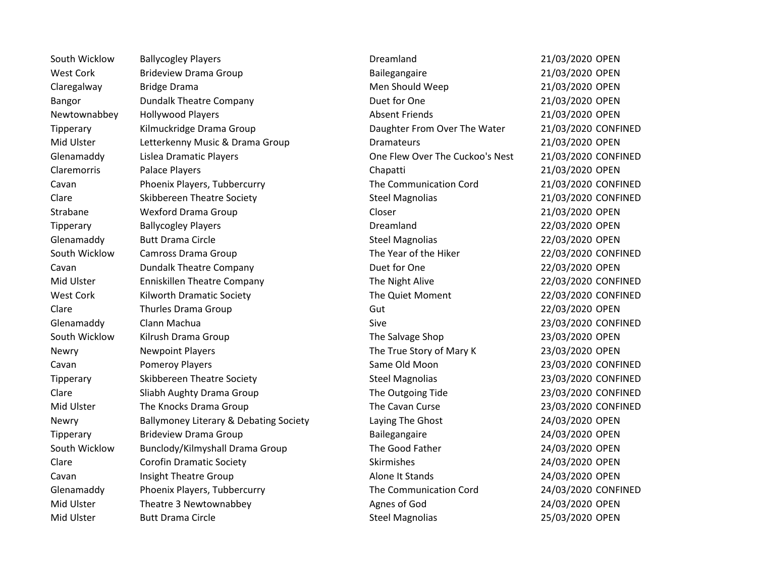South Wicklow Ballycogley Players **Dreamland** Dreamland 21/03/2020 OPEN West Cork Brideview Drama Group Bailegangaire Bailegangaire 21/03/2020 OPEN Claregalway Bridge Drama Bridge Drama Men Should Weep 21/03/2020 OPEN Bangor Dundalk Theatre Company Duet for One 21/03/2020 OPEN Newtownabbey Hollywood Players Noting the Absent Friends 21/03/2020 OPEN Tipperary Kilmuckridge Drama Group Daughter From Over The Water 21/03/2020 CONFINED Mid Ulster Calculater Letterkenny Music & Drama Group Communications Contained Music & Dramateurs 21/03/2020 OPEN Glenamaddy Lislea Dramatic Players Canadia Cheese Cheese One Flew Over The Cuckoo's Nest 21/03/2020 CONFINED Claremorris Palace Players Chapatti 21/03/2020 OPEN Cavan Phoenix Players, Tubbercurry The Communication Cord 21/03/2020 CONFINED Clare Skibbereen Theatre Society Steel Magnolias Steel Magnolias 21/03/2020 CONFINED Strabane Wexford Drama Group Closer 21/03/2020 OPEN Tipperary Ballycogley Players Dreamland 22/03/2020 OPEN Glenamaddy Butt Drama Circle **Steel Magnolias** Steel Magnolias 22/03/2020 OPEN South Wicklow Camross Drama Group Camross Drama Group Content Content Content The Year of the Hiker 22/03/2020 CONFINED Cavan Dundalk Theatre Company Duet for One 22/03/2020 OPEN Mid Ulster Theatre Company The Night Alive 22/03/2020 CONFINED West Cork Kilworth Dramatic Society Net Content The Quiet Moment 22/03/2020 CONFINED Clare Contract Thurles Drama Group Contract Contract Clare Contract Clare 22/03/2020 OPEN Glenamaddy Clann Machua Sive 23/03/2020 CONFINED South Wicklow Kilrush Drama Group Number 23/03/2020 OPEN Newry **Newpoint Players News** The True Story of Mary K 23/03/2020 OPEN Cavan Pomeroy Players Same Old Moon 23/03/2020 CONFINED Tipperary Skibbereen Theatre Society Steel Magnolias Steel Magnolias 23/03/2020 CONFINED Clare Sliabh Aughty Drama Group The Outgoing Tide 23/03/2020 CONFINED Mid Ulster The Knocks Drama Group The Cavan Curse 23/03/2020 CONFINED Newry Ballymoney Literary & Debating Society Laying The Ghost 24/03/2020 OPEN Tipperary Brideview Drama Group Bailegangaire Bailegangaire 24/03/2020 OPEN South Wicklow Bunclody/Kilmyshall Drama Group The Good Father 24/03/2020 OPEN Clare Corofin Dramatic Society Corofin Dramatic Society Skirmishes 24/03/2020 OPEN Cavan Cavan Insight Theatre Group Cavan Alone It Stands 24/03/2020 OPEN Glenamaddy Phoenix Players, Tubbercurry The Communication Cord 24/03/2020 CONFINED Mid Ulster Theatre 3 Newtownabbey and the Agnes of God Theatre 24/03/2020 OPEN Mid Ulster The Butt Drama Circle The Steel Magnolias 25/03/2020 OPEN